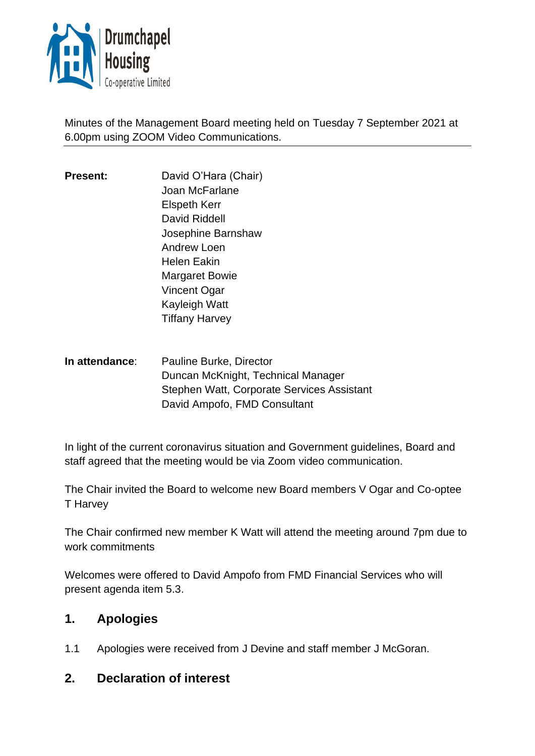

Minutes of the Management Board meeting held on Tuesday 7 September 2021 at 6.00pm using ZOOM Video Communications.

- **Present:** David O'Hara (Chair) Joan McFarlane Elspeth Kerr David Riddell Josephine Barnshaw Andrew Loen Helen Eakin Margaret Bowie Vincent Ogar Kayleigh Watt Tiffany Harvey
- **In attendance**: Pauline Burke, Director Duncan McKnight, Technical Manager Stephen Watt, Corporate Services Assistant David Ampofo, FMD Consultant

In light of the current coronavirus situation and Government guidelines, Board and staff agreed that the meeting would be via Zoom video communication.

The Chair invited the Board to welcome new Board members V Ogar and Co-optee T Harvey

The Chair confirmed new member K Watt will attend the meeting around 7pm due to work commitments

Welcomes were offered to David Ampofo from FMD Financial Services who will present agenda item 5.3.

# **1. Apologies**

1.1 Apologies were received from J Devine and staff member J McGoran.

## **2. Declaration of interest**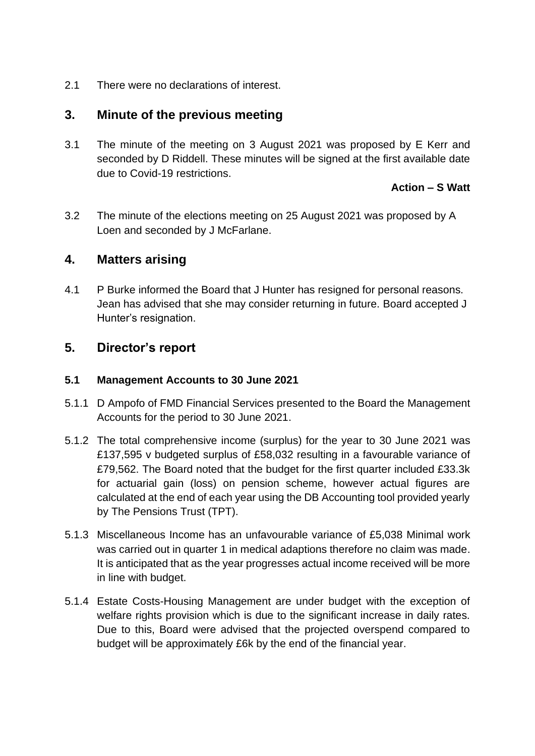2.1 There were no declarations of interest.

## **3. Minute of the previous meeting**

3.1 The minute of the meeting on 3 August 2021 was proposed by E Kerr and seconded by D Riddell. These minutes will be signed at the first available date due to Covid-19 restrictions.

#### **Action – S Watt**

3.2 The minute of the elections meeting on 25 August 2021 was proposed by A Loen and seconded by J McFarlane.

## **4. Matters arising**

4.1 P Burke informed the Board that J Hunter has resigned for personal reasons. Jean has advised that she may consider returning in future. Board accepted J Hunter's resignation.

## **5. Director's report**

#### **5.1 Management Accounts to 30 June 2021**

- 5.1.1 D Ampofo of FMD Financial Services presented to the Board the Management Accounts for the period to 30 June 2021.
- 5.1.2 The total comprehensive income (surplus) for the year to 30 June 2021 was £137,595 v budgeted surplus of £58,032 resulting in a favourable variance of £79,562. The Board noted that the budget for the first quarter included £33.3k for actuarial gain (loss) on pension scheme, however actual figures are calculated at the end of each year using the DB Accounting tool provided yearly by The Pensions Trust (TPT).
- 5.1.3 Miscellaneous Income has an unfavourable variance of £5,038 Minimal work was carried out in quarter 1 in medical adaptions therefore no claim was made. It is anticipated that as the year progresses actual income received will be more in line with budget.
- 5.1.4 Estate Costs-Housing Management are under budget with the exception of welfare rights provision which is due to the significant increase in daily rates. Due to this, Board were advised that the projected overspend compared to budget will be approximately £6k by the end of the financial year.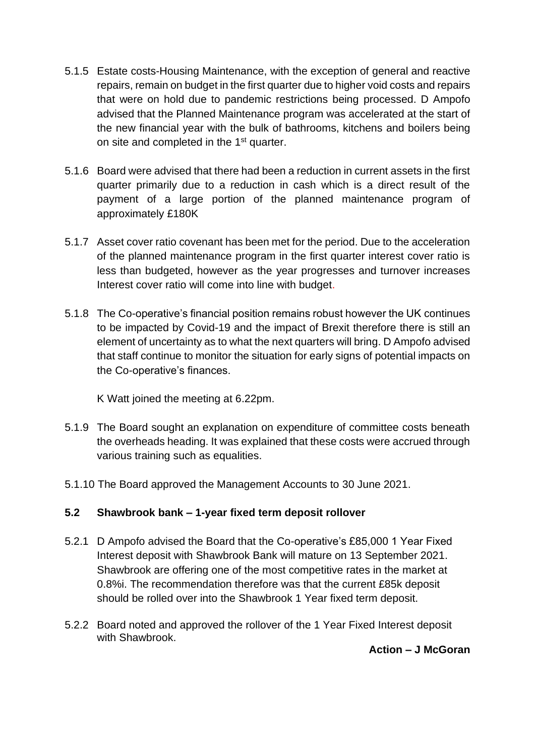- 5.1.5 Estate costs-Housing Maintenance, with the exception of general and reactive repairs, remain on budget in the first quarter due to higher void costs and repairs that were on hold due to pandemic restrictions being processed. D Ampofo advised that the Planned Maintenance program was accelerated at the start of the new financial year with the bulk of bathrooms, kitchens and boilers being on site and completed in the 1<sup>st</sup> quarter.
- 5.1.6 Board were advised that there had been a reduction in current assets in the first quarter primarily due to a reduction in cash which is a direct result of the payment of a large portion of the planned maintenance program of approximately £180K
- 5.1.7 Asset cover ratio covenant has been met for the period. Due to the acceleration of the planned maintenance program in the first quarter interest cover ratio is less than budgeted, however as the year progresses and turnover increases Interest cover ratio will come into line with budget.
- 5.1.8 The Co-operative's financial position remains robust however the UK continues to be impacted by Covid-19 and the impact of Brexit therefore there is still an element of uncertainty as to what the next quarters will bring. D Ampofo advised that staff continue to monitor the situation for early signs of potential impacts on the Co-operative's finances.

K Watt joined the meeting at 6.22pm.

- 5.1.9 The Board sought an explanation on expenditure of committee costs beneath the overheads heading. It was explained that these costs were accrued through various training such as equalities.
- 5.1.10 The Board approved the Management Accounts to 30 June 2021.

### **5.2 Shawbrook bank – 1-year fixed term deposit rollover**

- 5.2.1 D Ampofo advised the Board that the Co-operative's £85,000 1 Year Fixed Interest deposit with Shawbrook Bank will mature on 13 September 2021. Shawbrook are offering one of the most competitive rates in the market at 0.8%i. The recommendation therefore was that the current £85k deposit should be rolled over into the Shawbrook 1 Year fixed term deposit.
- 5.2.2 Board noted and approved the rollover of the 1 Year Fixed Interest deposit with Shawbrook.

### **Action – J McGoran**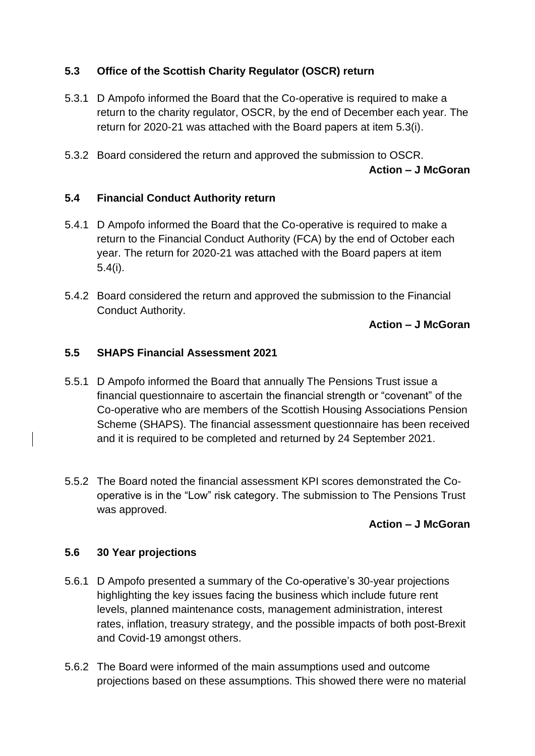### **5.3 Office of the Scottish Charity Regulator (OSCR) return**

- 5.3.1 D Ampofo informed the Board that the Co-operative is required to make a return to the charity regulator, OSCR, by the end of December each year. The return for 2020-21 was attached with the Board papers at item 5.3(i).
- 5.3.2 Board considered the return and approved the submission to OSCR. **Action – J McGoran**

### **5.4 Financial Conduct Authority return**

- 5.4.1 D Ampofo informed the Board that the Co-operative is required to make a return to the Financial Conduct Authority (FCA) by the end of October each year. The return for 2020-21 was attached with the Board papers at item 5.4(i).
- 5.4.2 Board considered the return and approved the submission to the Financial Conduct Authority.

**Action – J McGoran** 

### **5.5 SHAPS Financial Assessment 2021**

- 5.5.1 D Ampofo informed the Board that annually The Pensions Trust issue a financial questionnaire to ascertain the financial strength or "covenant" of the Co-operative who are members of the Scottish Housing Associations Pension Scheme (SHAPS). The financial assessment questionnaire has been received and it is required to be completed and returned by 24 September 2021.
- 5.5.2 The Board noted the financial assessment KPI scores demonstrated the Cooperative is in the "Low" risk category. The submission to The Pensions Trust was approved.

### **Action – J McGoran**

### **5.6 30 Year projections**

- 5.6.1 D Ampofo presented a summary of the Co-operative's 30-year projections highlighting the key issues facing the business which include future rent levels, planned maintenance costs, management administration, interest rates, inflation, treasury strategy, and the possible impacts of both post-Brexit and Covid-19 amongst others.
- 5.6.2 The Board were informed of the main assumptions used and outcome projections based on these assumptions. This showed there were no material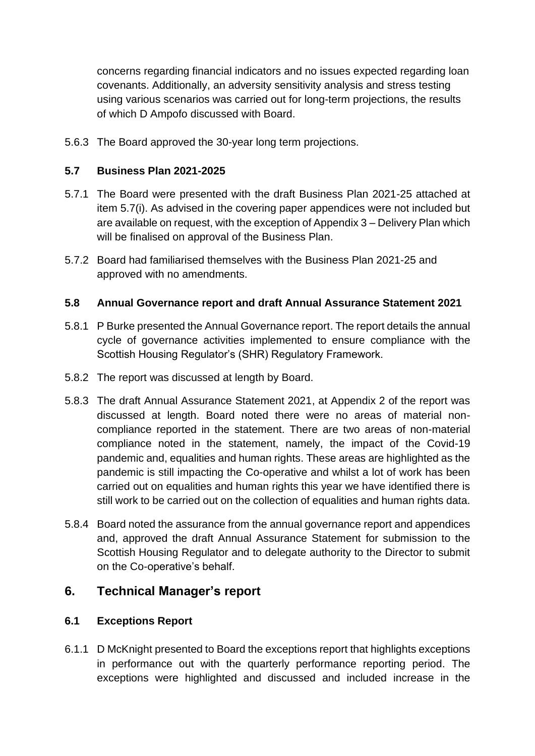concerns regarding financial indicators and no issues expected regarding loan covenants. Additionally, an adversity sensitivity analysis and stress testing using various scenarios was carried out for long-term projections, the results of which D Ampofo discussed with Board.

5.6.3 The Board approved the 30-year long term projections.

#### **5.7 Business Plan 2021-2025**

- 5.7.1 The Board were presented with the draft Business Plan 2021-25 attached at item 5.7(i). As advised in the covering paper appendices were not included but are available on request, with the exception of Appendix 3 – Delivery Plan which will be finalised on approval of the Business Plan.
- 5.7.2 Board had familiarised themselves with the Business Plan 2021-25 and approved with no amendments.

#### **5.8 Annual Governance report and draft Annual Assurance Statement 2021**

- 5.8.1 P Burke presented the Annual Governance report. The report details the annual cycle of governance activities implemented to ensure compliance with the Scottish Housing Regulator's (SHR) Regulatory Framework.
- 5.8.2 The report was discussed at length by Board.
- 5.8.3 The draft Annual Assurance Statement 2021, at Appendix 2 of the report was discussed at length. Board noted there were no areas of material noncompliance reported in the statement. There are two areas of non-material compliance noted in the statement, namely, the impact of the Covid-19 pandemic and, equalities and human rights. These areas are highlighted as the pandemic is still impacting the Co-operative and whilst a lot of work has been carried out on equalities and human rights this year we have identified there is still work to be carried out on the collection of equalities and human rights data.
- 5.8.4 Board noted the assurance from the annual governance report and appendices and, approved the draft Annual Assurance Statement for submission to the Scottish Housing Regulator and to delegate authority to the Director to submit on the Co-operative's behalf.

## **6. Technical Manager's report**

#### **6.1 Exceptions Report**

6.1.1 D McKnight presented to Board the exceptions report that highlights exceptions in performance out with the quarterly performance reporting period. The exceptions were highlighted and discussed and included increase in the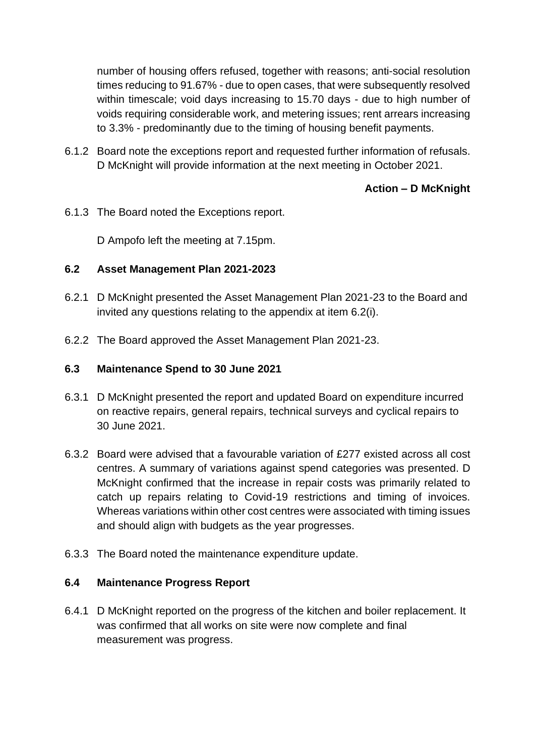number of housing offers refused, together with reasons; anti-social resolution times reducing to 91.67% - due to open cases, that were subsequently resolved within timescale; void days increasing to 15.70 days - due to high number of voids requiring considerable work, and metering issues; rent arrears increasing to 3.3% - predominantly due to the timing of housing benefit payments.

6.1.2 Board note the exceptions report and requested further information of refusals. D McKnight will provide information at the next meeting in October 2021.

## **Action – D McKnight**

6.1.3 The Board noted the Exceptions report.

D Ampofo left the meeting at 7.15pm.

#### **6.2 Asset Management Plan 2021-2023**

- 6.2.1 D McKnight presented the Asset Management Plan 2021-23 to the Board and invited any questions relating to the appendix at item 6.2(i).
- 6.2.2 The Board approved the Asset Management Plan 2021-23.

#### **6.3 Maintenance Spend to 30 June 2021**

- 6.3.1 D McKnight presented the report and updated Board on expenditure incurred on reactive repairs, general repairs, technical surveys and cyclical repairs to 30 June 2021.
- 6.3.2 Board were advised that a favourable variation of £277 existed across all cost centres. A summary of variations against spend categories was presented. D McKnight confirmed that the increase in repair costs was primarily related to catch up repairs relating to Covid-19 restrictions and timing of invoices. Whereas variations within other cost centres were associated with timing issues and should align with budgets as the year progresses.
- 6.3.3 The Board noted the maintenance expenditure update.

### **6.4 Maintenance Progress Report**

6.4.1 D McKnight reported on the progress of the kitchen and boiler replacement. It was confirmed that all works on site were now complete and final measurement was progress.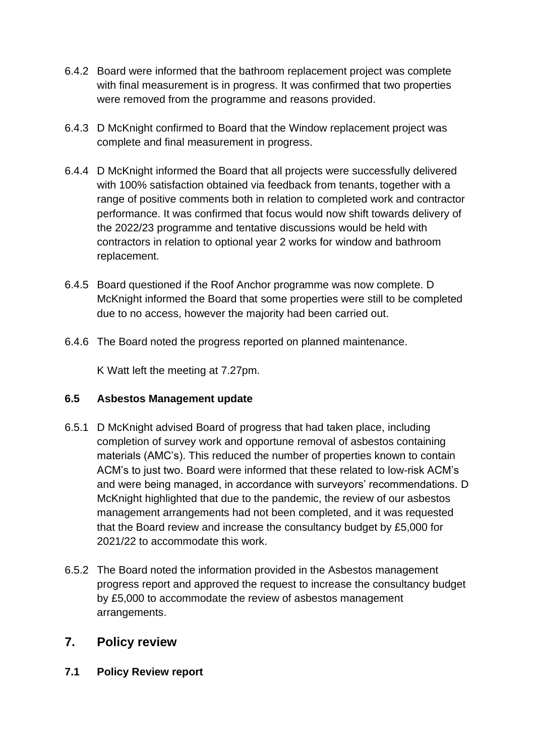- 6.4.2 Board were informed that the bathroom replacement project was complete with final measurement is in progress. It was confirmed that two properties were removed from the programme and reasons provided.
- 6.4.3 D McKnight confirmed to Board that the Window replacement project was complete and final measurement in progress.
- 6.4.4 D McKnight informed the Board that all projects were successfully delivered with 100% satisfaction obtained via feedback from tenants, together with a range of positive comments both in relation to completed work and contractor performance. It was confirmed that focus would now shift towards delivery of the 2022/23 programme and tentative discussions would be held with contractors in relation to optional year 2 works for window and bathroom replacement.
- 6.4.5 Board questioned if the Roof Anchor programme was now complete. D McKnight informed the Board that some properties were still to be completed due to no access, however the majority had been carried out.
- 6.4.6 The Board noted the progress reported on planned maintenance.

K Watt left the meeting at 7.27pm.

### **6.5 Asbestos Management update**

- 6.5.1 D McKnight advised Board of progress that had taken place, including completion of survey work and opportune removal of asbestos containing materials (AMC's). This reduced the number of properties known to contain ACM's to just two. Board were informed that these related to low-risk ACM's and were being managed, in accordance with surveyors' recommendations. D McKnight highlighted that due to the pandemic, the review of our asbestos management arrangements had not been completed, and it was requested that the Board review and increase the consultancy budget by £5,000 for 2021/22 to accommodate this work.
- 6.5.2 The Board noted the information provided in the Asbestos management progress report and approved the request to increase the consultancy budget by £5,000 to accommodate the review of asbestos management arrangements.

## **7. Policy review**

**7.1 Policy Review report**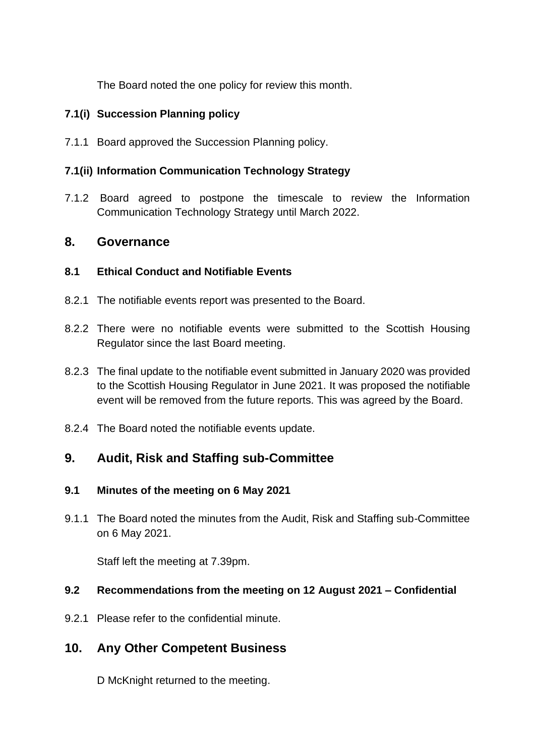The Board noted the one policy for review this month.

### **7.1(i) Succession Planning policy**

7.1.1 Board approved the Succession Planning policy.

#### **7.1(ii) Information Communication Technology Strategy**

7.1.2 Board agreed to postpone the timescale to review the Information Communication Technology Strategy until March 2022.

### **8. Governance**

### **8.1 Ethical Conduct and Notifiable Events**

- 8.2.1 The notifiable events report was presented to the Board.
- 8.2.2 There were no notifiable events were submitted to the Scottish Housing Regulator since the last Board meeting.
- 8.2.3 The final update to the notifiable event submitted in January 2020 was provided to the Scottish Housing Regulator in June 2021. It was proposed the notifiable event will be removed from the future reports. This was agreed by the Board.
- 8.2.4 The Board noted the notifiable events update.

# **9. Audit, Risk and Staffing sub-Committee**

### **9.1 Minutes of the meeting on 6 May 2021**

9.1.1 The Board noted the minutes from the Audit, Risk and Staffing sub-Committee on 6 May 2021.

Staff left the meeting at 7.39pm.

### **9.2 Recommendations from the meeting on 12 August 2021 – Confidential**

9.2.1 Please refer to the confidential minute.

# **10. Any Other Competent Business**

D McKnight returned to the meeting.